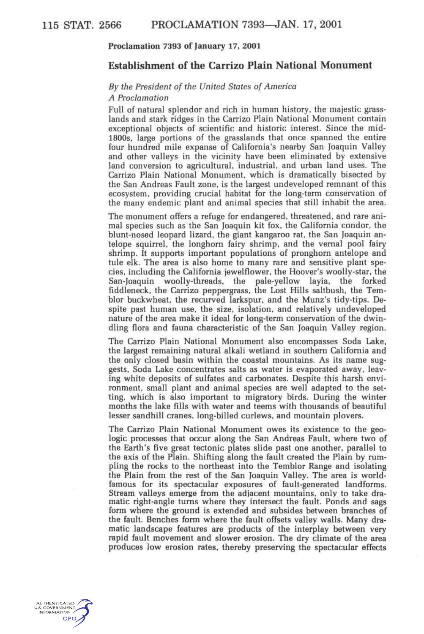#### **Proclamation 7393 of January 17, 2001**

### **Establishment of the Carrizo Plain National Monument**

#### *By the President of the United States of America A Proclamation*

Full of natural splendor and rich in human history, the majestic grasslands and stark ridges in the Carrizo Plain National Monument contain exceptional objects of scientific and historic interest. Since the mid-1800s, large portions of the grasslands that once spanned the entire four hundred mile expanse of California's nearby San Joaquin Valley and other valleys in the vicinity have been eliminated by extensive land conversion to agricultural, industrial, and urban land uses. The Carrizo Plain National Monument, which is dramatically bisected by the San Andreas Fault zone, is the largest undeveloped remnant of this ecosystem, providing crucial habitat for the long-term conservation of the many endemic plant and animal species that still inhabit the area.

The monument offers a refuge for endangered, threatened, and rare animal species such as the San Joaquin kit fox, the California condor, the blunt-nosed leopard lizard, the giant kangaroo rat, the San Joaquin antelope squirrel, the longhorn fairy shrimp, and the vernal pool fairy shrimp. It supports important populations of pronghorn antelope and tule elk. The area is also home to many rare and sensitive plant species, including the California jewelflower, the Hoover's woolly-star, the San-Joaquin woolly-threads, the pale-yellow layia, the forked fiddleneck, the Carrizo peppergrass, the Lost Hills saltbush, the Temblor buckwheat, the recurved larkspur, and the Munz's tidy-tips. Despite past human use, the size, isolation, and relatively undeveloped nature of the area make it ideal for long-term conservation of the dwindling flora and fauna characteristic of the San Joaquin Valley region.

The Carrizo Plain National Monument also encompasses Soda Lake, the largest remaining natural alkali wetland in southern California and the only closed basin within the coastal mountains. As its name suggests. Soda Lake concentrates salts as water is evaporated away, leaving white deposits of sulfates and carbonates. Despite this harsh environment, small plant and animal species are well adapted to the setting, which is also important to migratory birds. During the winter months the lake fills with water and teems with thousands of beautiful lesser sandhill cranes, long-billed curlews, and mountain plovers.

The Carrizo Plain National Monument owes its existence to the geologic processes that occur along the San Andreas Fault, where two of the Earth's five great tectonic plates slide past one another, parallel to the axis of the Plain. Shifting along the fault created the Plain by rumpling the rocks to the northeast into the Temblor Range and isolating the Plain from the rest of the San Joaquin Valley. The area is worldfamous for its spectacular exposures of fault-generated landforms. Stream valleys emerge from the adjacent mountains, only to take dramatic right-angle turns where they intersect the fault. Ponds and sags form where the ground is extended and subsides between branches of the fault. Benches form where the fault offsets valley walls. Many dramatic landscape features are products of the interplay between very rapid fault movement and slower erosion. The dry climate of the area produces low erosion rates, thereby preserving the spectacular effects

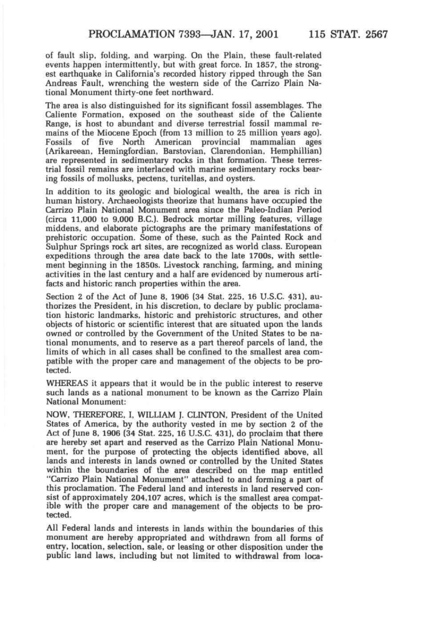of fault slip, folding, and warping. On the Plain, these fault-related events happen intermittently, but with great force. In 1857, the strongest earthquake in California's recorded history ripped through the San Andreas Fault, wrenching the western side of the Carrizo Plain National Monument thirty-one feet northward.

The area is also distinguished for its significant fossil assemblages. The Caliente Formation, exposed on the southeast side of the Caliente Range, is host to abundant and diverse terrestrial fossil mammal remains of the Miocene Epoch (from 13 million to 25 million years ago). Fossils of five North American provincial mammalian ages (Arikareean, Hemingfordian, Barstovian, Clarendonian, Hemphillian) are represented in sedimentary rocks in that formation. These terrestrial fossil remains are interlaced with marine sedimentary rocks bearing fossils of mollusks, pectens, turitellas, and oysters.

In addition to its geologic and biological wealth, the area is rich in human history. Archaeologists theorize that humans have occupied the Carrizo Plain National Monument area since the Paleo-Indian Period (circa 11,000 to 9,000 B.C.). Bedrock mortar milling features, village middens, and elaborate pictographs are the primary manifestations of prehistoric occupation. Some of these, such as the Painted Rock and Sulphur Springs rock art sites, are recognized as world class. European expeditions through the area date back to the late 1700s, with settlement beginning in the 1850s. Livestock ranching, farming, and mining activities in the last century and a half are evidenced by numerous artifacts and historic ranch properties within the area.

Section 2 of the Act of June 8, 1906 (34 Stat. 225, 16 U.S.C. 431), authorizes the President, in his discretion, to declare by public proclamation historic landmarks, historic and prehistoric structures, and other objects of historic or scientific interest that are situated upon the lands owned or controlled by the Government of the United States to be national monuments, and to reserve as a part thereof parcels of land, the limits of which in all cases shall be confined to the smallest area compatible with the proper care and management of the objects to be protected.

WHEREAS it appears that it would be in the public interest to reserve such lands as a national monument to be known as the Carrizo Plain National Monument:

NOW, THEREFORE, I, WILLIAM J. CLINTON, President of the United States of America, by the authority vested in me by section 2 of the Act of June 8, 1906 (34 Stat. 225, 16 U.S.C. 431), do proclaim that there are hereby set apart and reserved as the Carrizo Plain National Monument, for the purpose of protecting the objects identified above, all lands and interests in lands owned or controlled by the United States within the boundaries of the area described on the map entitled "Carrizo Plain National Monument" attached to and forming a part of this proclamation. The Federal land and interests in land reserved consist of approximately 204,107 acres, which is the smallest area compatible with the proper care and management of the objects to be protected.

All Federal lands and interests in lands within the boundaries of this monument are hereby appropriated and withdrawn from all forms of entry, location, selection, sale, or leasing or other disposition under the public land laws, including but not limited to withdrawal from loca^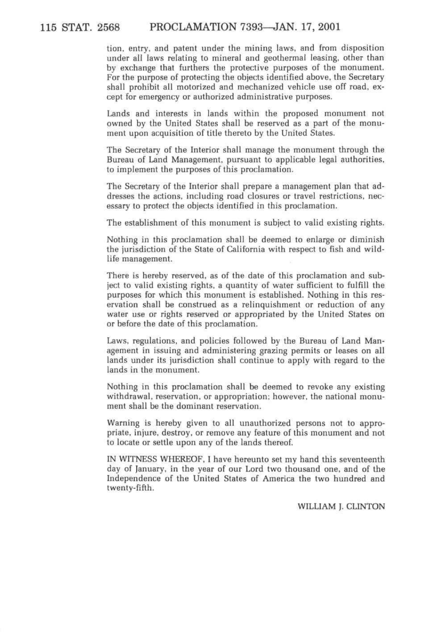### 115 STAT. 2568 PROCLAMATION 7393-JAN. 17, 2001

tion, entry, and patent under the mining laws, and from disposition under all laws relating to mineral and geothermal leasing, other than by exchange that furthers the protective purposes of the monument. For the purpose of protecting the objects identified above, the Secretary shall prohibit all motorized and mechanized vehicle use off road, except for emergency or authorized administrative purposes.

Lands and interests in lands within the proposed monument not owned by the United States shall be reserved as a part of the monument upon acquisition of title thereto by the United States.

The Secretary of the Interior shall manage the monument through the Bureau of Land Management, pursuant to applicable legal authorities, to implement the purposes of this proclamation.

The Secretary of the Interior shall prepare a management plan that addresses the actions, including road closures or travel restrictions, necessary to protect the objects identified in this proclamation.

The establishment of this monument is subject to valid existing rights.

Nothing in this proclamation shall be deemed to enlarge or diminish the jurisdiction of the State of California with respect to fish and wildlife management.

There is hereby reserved, as of the date of this proclamation and subject to valid existing rights, a quantity of water sufficient to fulfill the purposes for which this monument is established. Nothing in this reservation shall be construed as a relinquishment or reduction of any water use or rights reserved or appropriated by the United States on or before the date of this proclamation.

Laws, regulations, and policies followed by the Bureau of Land Management in issuing and administering grazing permits or leases on all lands under its jurisdiction shall continue to apply with regard to the lands in the monument.

Nothing in this proclamation shall be deemed to revoke any existing withdrawal, reservation, or appropriation; however, the national monument shall be the dominant reservation.

Warning is hereby given to all unauthorized persons not to appropriate, injure, destroy, or remove any feature of this monument and not to locate or settle upon any of the lands thereof.

IN WITNESS WHEREOF, I have hereunto set my hand this seventeenth day of January, in the year of our Lord two thousand one, and of the Independence of the United States of America the two hundred and twenty-fifth.

WILLIAM J. CLINTON